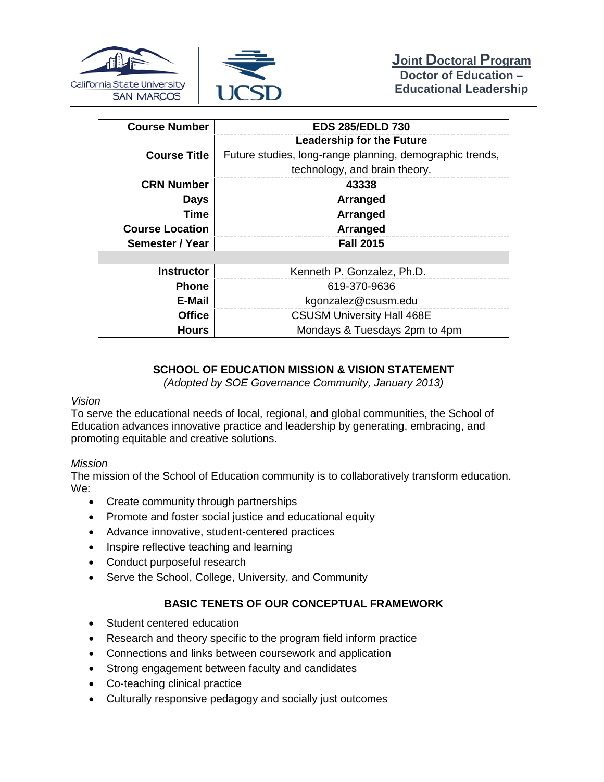



| <b>Course Number</b>   | <b>EDS 285/EDLD 730</b>                                  |  |
|------------------------|----------------------------------------------------------|--|
|                        | <b>Leadership for the Future</b>                         |  |
| <b>Course Title</b>    | Future studies, long-range planning, demographic trends, |  |
|                        | technology, and brain theory.                            |  |
| <b>CRN Number</b>      | 43338                                                    |  |
| <b>Days</b>            | Arranged                                                 |  |
| Time                   | Arranged                                                 |  |
| <b>Course Location</b> | Arranged                                                 |  |
| Semester / Year        | <b>Fall 2015</b>                                         |  |
|                        |                                                          |  |
| <b>Instructor</b>      | Kenneth P. Gonzalez, Ph.D.                               |  |
| <b>Phone</b>           | 619-370-9636                                             |  |
| E-Mail                 | kgonzalez@csusm.edu                                      |  |
| <b>Office</b>          | <b>CSUSM University Hall 468E</b>                        |  |
| <b>Hours</b>           | Mondays & Tuesdays 2pm to 4pm                            |  |

## **SCHOOL OF EDUCATION MISSION & VISION STATEMENT**

*(Adopted by SOE Governance Community, January 2013)*

### *Vision*

To serve the educational needs of local, regional, and global communities, the School of Education advances innovative practice and leadership by generating, embracing, and promoting equitable and creative solutions.

### *Mission*

The mission of the School of Education community is to collaboratively transform education. We:

- Create community through partnerships
- Promote and foster social justice and educational equity
- Advance innovative, student-centered practices
- Inspire reflective teaching and learning
- Conduct purposeful research
- Serve the School, College, University, and Community

### **BASIC TENETS OF OUR CONCEPTUAL FRAMEWORK**

- Student centered education
- Research and theory specific to the program field inform practice
- Connections and links between coursework and application
- Strong engagement between faculty and candidates
- Co-teaching clinical practice
- Culturally responsive pedagogy and socially just outcomes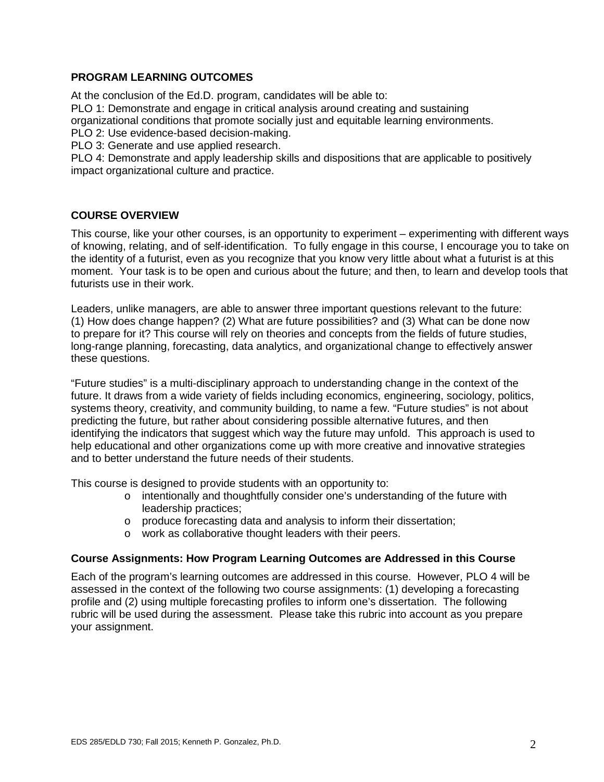### **PROGRAM LEARNING OUTCOMES**

At the conclusion of the Ed.D. program, candidates will be able to:

PLO 1: Demonstrate and engage in critical analysis around creating and sustaining

organizational conditions that promote socially just and equitable learning environments.

PLO 2: Use evidence-based decision-making.

PLO 3: Generate and use applied research.

PLO 4: Demonstrate and apply leadership skills and dispositions that are applicable to positively impact organizational culture and practice.

### **COURSE OVERVIEW**

This course, like your other courses, is an opportunity to experiment – experimenting with different ways of knowing, relating, and of self-identification. To fully engage in this course, I encourage you to take on the identity of a futurist, even as you recognize that you know very little about what a futurist is at this moment. Your task is to be open and curious about the future; and then, to learn and develop tools that futurists use in their work.

Leaders, unlike managers, are able to answer three important questions relevant to the future: (1) How does change happen? (2) What are future possibilities? and (3) What can be done now to prepare for it? This course will rely on theories and concepts from the fields of future studies, long-range planning, forecasting, data analytics, and organizational change to effectively answer these questions.

"Future studies" is a multi-disciplinary approach to understanding change in the context of the future. It draws from a wide variety of fields including economics, engineering, sociology, politics, systems theory, creativity, and community building, to name a few. "Future studies" is not about predicting the future, but rather about considering possible alternative futures, and then identifying the indicators that suggest which way the future may unfold. This approach is used to help educational and other organizations come up with more creative and innovative strategies and to better understand the future needs of their students.

This course is designed to provide students with an opportunity to:

- $\circ$  intentionally and thoughtfully consider one's understanding of the future with leadership practices;
- o produce forecasting data and analysis to inform their dissertation;
- o work as collaborative thought leaders with their peers.

#### **Course Assignments: How Program Learning Outcomes are Addressed in this Course**

Each of the program's learning outcomes are addressed in this course. However, PLO 4 will be assessed in the context of the following two course assignments: (1) developing a forecasting profile and (2) using multiple forecasting profiles to inform one's dissertation. The following rubric will be used during the assessment. Please take this rubric into account as you prepare your assignment.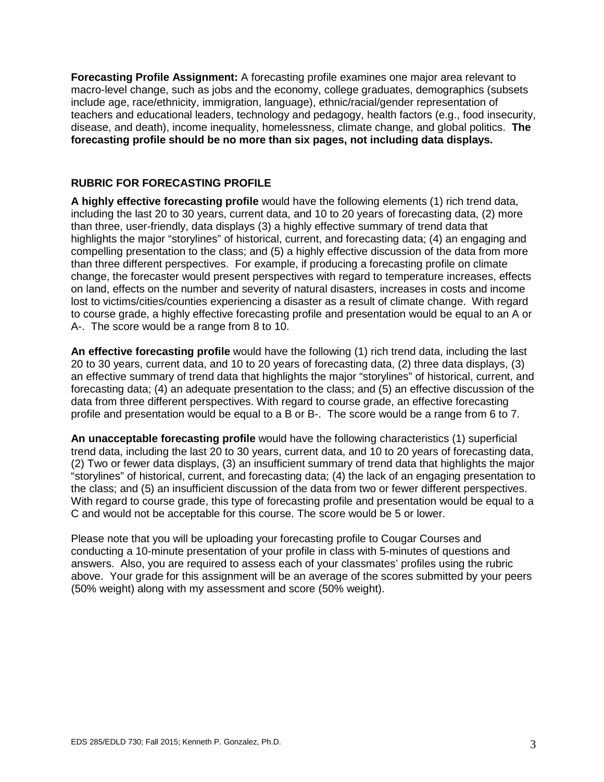**Forecasting Profile Assignment:** A forecasting profile examines one major area relevant to macro-level change, such as jobs and the economy, college graduates, demographics (subsets include age, race/ethnicity, immigration, language), ethnic/racial/gender representation of teachers and educational leaders, technology and pedagogy, health factors (e.g., food insecurity, disease, and death), income inequality, homelessness, climate change, and global politics. **The forecasting profile should be no more than six pages, not including data displays.**

## **RUBRIC FOR FORECASTING PROFILE**

**A highly effective forecasting profile** would have the following elements (1) rich trend data, including the last 20 to 30 years, current data, and 10 to 20 years of forecasting data, (2) more than three, user-friendly, data displays (3) a highly effective summary of trend data that highlights the major "storylines" of historical, current, and forecasting data; (4) an engaging and compelling presentation to the class; and (5) a highly effective discussion of the data from more than three different perspectives. For example, if producing a forecasting profile on climate change, the forecaster would present perspectives with regard to temperature increases, effects on land, effects on the number and severity of natural disasters, increases in costs and income lost to victims/cities/counties experiencing a disaster as a result of climate change. With regard to course grade, a highly effective forecasting profile and presentation would be equal to an A or A-. The score would be a range from 8 to 10.

**An effective forecasting profile** would have the following (1) rich trend data, including the last 20 to 30 years, current data, and 10 to 20 years of forecasting data, (2) three data displays, (3) an effective summary of trend data that highlights the major "storylines" of historical, current, and forecasting data; (4) an adequate presentation to the class; and (5) an effective discussion of the data from three different perspectives. With regard to course grade, an effective forecasting profile and presentation would be equal to a B or B-. The score would be a range from 6 to 7.

**An unacceptable forecasting profile** would have the following characteristics (1) superficial trend data, including the last 20 to 30 years, current data, and 10 to 20 years of forecasting data, (2) Two or fewer data displays, (3) an insufficient summary of trend data that highlights the major "storylines" of historical, current, and forecasting data; (4) the lack of an engaging presentation to the class; and (5) an insufficient discussion of the data from two or fewer different perspectives. With regard to course grade, this type of forecasting profile and presentation would be equal to a C and would not be acceptable for this course. The score would be 5 or lower.

Please note that you will be uploading your forecasting profile to Cougar Courses and conducting a 10-minute presentation of your profile in class with 5-minutes of questions and answers. Also, you are required to assess each of your classmates' profiles using the rubric above. Your grade for this assignment will be an average of the scores submitted by your peers (50% weight) along with my assessment and score (50% weight).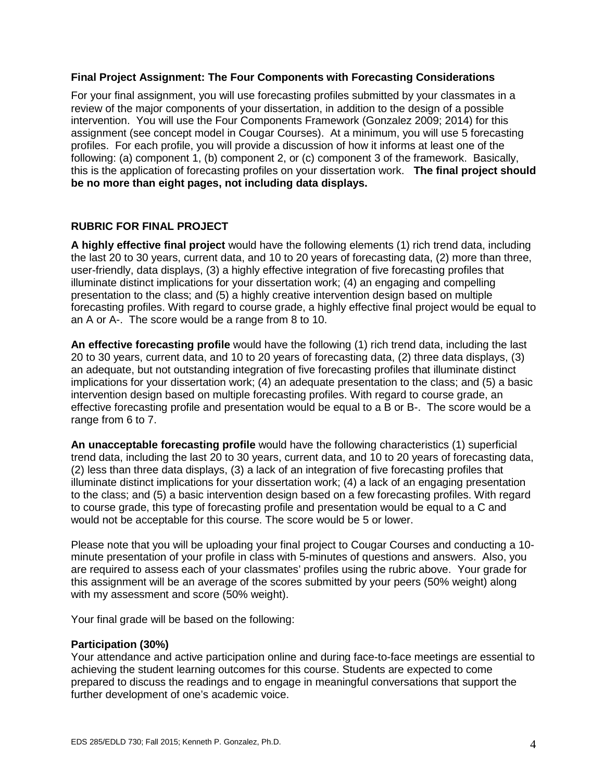### **Final Project Assignment: The Four Components with Forecasting Considerations**

For your final assignment, you will use forecasting profiles submitted by your classmates in a review of the major components of your dissertation, in addition to the design of a possible intervention. You will use the Four Components Framework (Gonzalez 2009; 2014) for this assignment (see concept model in Cougar Courses). At a minimum, you will use 5 forecasting profiles. For each profile, you will provide a discussion of how it informs at least one of the following: (a) component 1, (b) component 2, or (c) component 3 of the framework. Basically, this is the application of forecasting profiles on your dissertation work. **The final project should be no more than eight pages, not including data displays.**

### **RUBRIC FOR FINAL PROJECT**

**A highly effective final project** would have the following elements (1) rich trend data, including the last 20 to 30 years, current data, and 10 to 20 years of forecasting data, (2) more than three, user-friendly, data displays, (3) a highly effective integration of five forecasting profiles that illuminate distinct implications for your dissertation work; (4) an engaging and compelling presentation to the class; and (5) a highly creative intervention design based on multiple forecasting profiles. With regard to course grade, a highly effective final project would be equal to an A or A-. The score would be a range from 8 to 10.

**An effective forecasting profile** would have the following (1) rich trend data, including the last 20 to 30 years, current data, and 10 to 20 years of forecasting data, (2) three data displays, (3) an adequate, but not outstanding integration of five forecasting profiles that illuminate distinct implications for your dissertation work; (4) an adequate presentation to the class; and (5) a basic intervention design based on multiple forecasting profiles. With regard to course grade, an effective forecasting profile and presentation would be equal to a B or B-. The score would be a range from 6 to 7.

**An unacceptable forecasting profile** would have the following characteristics (1) superficial trend data, including the last 20 to 30 years, current data, and 10 to 20 years of forecasting data, (2) less than three data displays, (3) a lack of an integration of five forecasting profiles that illuminate distinct implications for your dissertation work; (4) a lack of an engaging presentation to the class; and (5) a basic intervention design based on a few forecasting profiles. With regard to course grade, this type of forecasting profile and presentation would be equal to a C and would not be acceptable for this course. The score would be 5 or lower.

Please note that you will be uploading your final project to Cougar Courses and conducting a 10 minute presentation of your profile in class with 5-minutes of questions and answers. Also, you are required to assess each of your classmates' profiles using the rubric above. Your grade for this assignment will be an average of the scores submitted by your peers (50% weight) along with my assessment and score (50% weight).

Your final grade will be based on the following:

#### **Participation (30%)**

Your attendance and active participation online and during face-to-face meetings are essential to achieving the student learning outcomes for this course. Students are expected to come prepared to discuss the readings and to engage in meaningful conversations that support the further development of one's academic voice.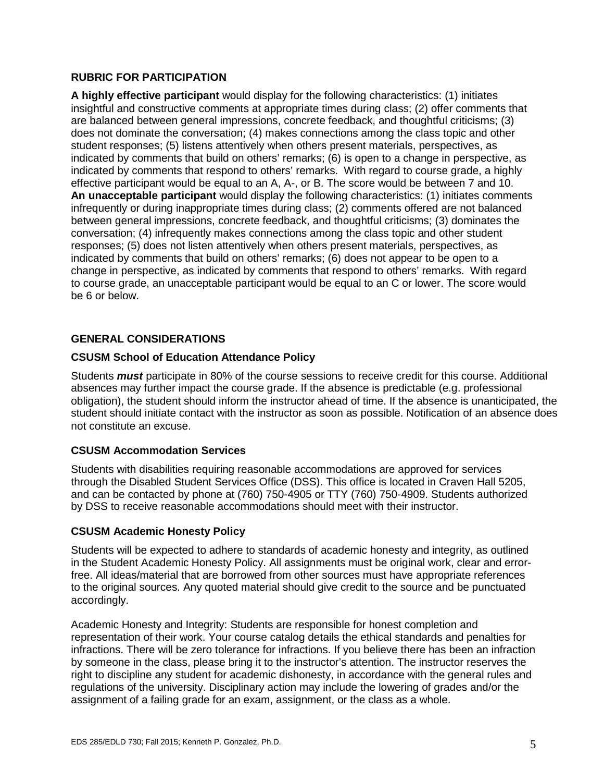### **RUBRIC FOR PARTICIPATION**

**A highly effective participant** would display for the following characteristics: (1) initiates insightful and constructive comments at appropriate times during class; (2) offer comments that are balanced between general impressions, concrete feedback, and thoughtful criticisms; (3) does not dominate the conversation; (4) makes connections among the class topic and other student responses; (5) listens attentively when others present materials, perspectives, as indicated by comments that build on others' remarks; (6) is open to a change in perspective, as indicated by comments that respond to others' remarks. With regard to course grade, a highly effective participant would be equal to an A, A-, or B. The score would be between 7 and 10. **An unacceptable participant** would display the following characteristics: (1) initiates comments infrequently or during inappropriate times during class; (2) comments offered are not balanced between general impressions, concrete feedback, and thoughtful criticisms; (3) dominates the conversation; (4) infrequently makes connections among the class topic and other student responses; (5) does not listen attentively when others present materials, perspectives, as indicated by comments that build on others' remarks; (6) does not appear to be open to a change in perspective, as indicated by comments that respond to others' remarks. With regard to course grade, an unacceptable participant would be equal to an C or lower. The score would be 6 or below.

## **GENERAL CONSIDERATIONS**

### **CSUSM School of Education Attendance Policy**

Students *must* participate in 80% of the course sessions to receive credit for this course. Additional absences may further impact the course grade. If the absence is predictable (e.g. professional obligation), the student should inform the instructor ahead of time. If the absence is unanticipated, the student should initiate contact with the instructor as soon as possible. Notification of an absence does not constitute an excuse.

### **CSUSM Accommodation Services**

Students with disabilities requiring reasonable accommodations are approved for services through the Disabled Student Services Office (DSS). This office is located in Craven Hall 5205, and can be contacted by phone at (760) 750-4905 or TTY (760) 750-4909. Students authorized by DSS to receive reasonable accommodations should meet with their instructor.

### **CSUSM Academic Honesty Policy**

Students will be expected to adhere to standards of academic honesty and integrity, as outlined in the Student Academic Honesty Policy. All assignments must be original work, clear and errorfree. All ideas/material that are borrowed from other sources must have appropriate references to the original sources. Any quoted material should give credit to the source and be punctuated accordingly.

Academic Honesty and Integrity: Students are responsible for honest completion and representation of their work. Your course catalog details the ethical standards and penalties for infractions. There will be zero tolerance for infractions. If you believe there has been an infraction by someone in the class, please bring it to the instructor's attention. The instructor reserves the right to discipline any student for academic dishonesty, in accordance with the general rules and regulations of the university. Disciplinary action may include the lowering of grades and/or the assignment of a failing grade for an exam, assignment, or the class as a whole.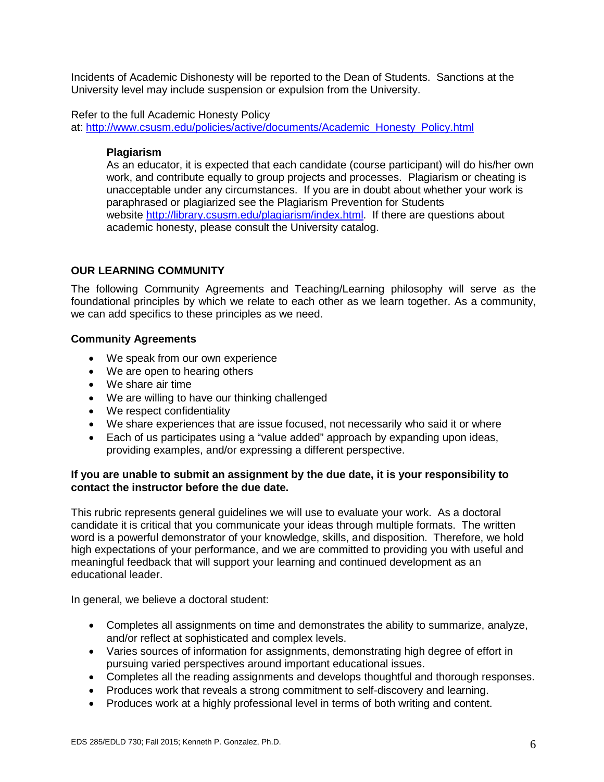Incidents of Academic Dishonesty will be reported to the Dean of Students. Sanctions at the University level may include suspension or expulsion from the University.

Refer to the full Academic Honesty Policy at: [http://www.csusm.edu/policies/active/documents/Academic\\_Honesty\\_Policy.html](http://www.csusm.edu/policies/active/documents/Academic_Honesty_Policy.html)

### **Plagiarism**

As an educator, it is expected that each candidate (course participant) will do his/her own work, and contribute equally to group projects and processes. Plagiarism or cheating is unacceptable under any circumstances. If you are in doubt about whether your work is paraphrased or plagiarized see the Plagiarism Prevention for Students website [http://library.csusm.edu/plagiarism/index.html.](http://library.csusm.edu/plagiarism/index.html) If there are questions about academic honesty, please consult the University catalog.

### **OUR LEARNING COMMUNITY**

The following Community Agreements and Teaching/Learning philosophy will serve as the foundational principles by which we relate to each other as we learn together. As a community, we can add specifics to these principles as we need.

#### **Community Agreements**

- We speak from our own experience
- We are open to hearing others
- We share air time
- We are willing to have our thinking challenged
- We respect confidentiality
- We share experiences that are issue focused, not necessarily who said it or where
- Each of us participates using a "value added" approach by expanding upon ideas, providing examples, and/or expressing a different perspective.

### **If you are unable to submit an assignment by the due date, it is your responsibility to contact the instructor before the due date.**

This rubric represents general guidelines we will use to evaluate your work. As a doctoral candidate it is critical that you communicate your ideas through multiple formats. The written word is a powerful demonstrator of your knowledge, skills, and disposition. Therefore, we hold high expectations of your performance, and we are committed to providing you with useful and meaningful feedback that will support your learning and continued development as an educational leader.

In general, we believe a doctoral student:

- Completes all assignments on time and demonstrates the ability to summarize, analyze, and/or reflect at sophisticated and complex levels.
- Varies sources of information for assignments, demonstrating high degree of effort in pursuing varied perspectives around important educational issues.
- Completes all the reading assignments and develops thoughtful and thorough responses.
- Produces work that reveals a strong commitment to self-discovery and learning.
- Produces work at a highly professional level in terms of both writing and content.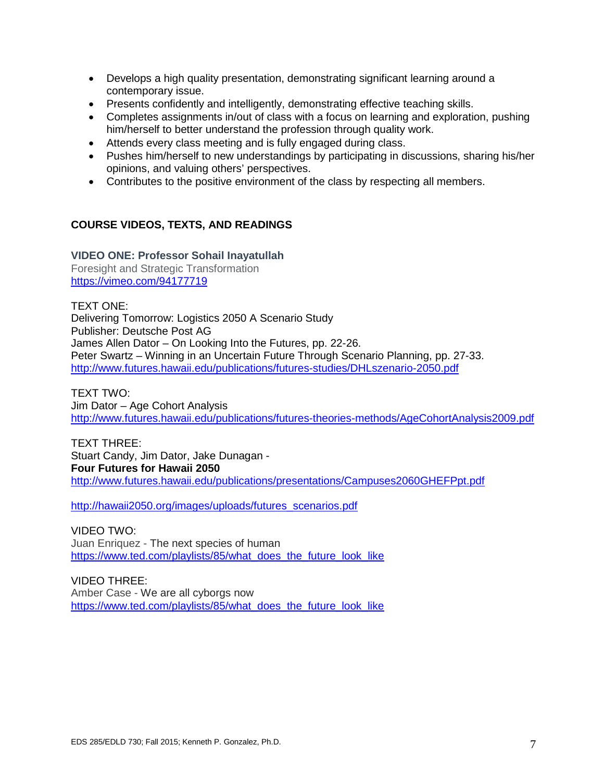- Develops a high quality presentation, demonstrating significant learning around a contemporary issue.
- Presents confidently and intelligently, demonstrating effective teaching skills.
- Completes assignments in/out of class with a focus on learning and exploration, pushing him/herself to better understand the profession through quality work.
- Attends every class meeting and is fully engaged during class.
- Pushes him/herself to new understandings by participating in discussions, sharing his/her opinions, and valuing others' perspectives.
- Contributes to the positive environment of the class by respecting all members.

## **COURSE VIDEOS, TEXTS, AND READINGS**

### **VIDEO ONE: Professor Sohail Inayatullah**

Foresight and Strategic Transformation <https://vimeo.com/94177719>

TEXT ONE: Delivering Tomorrow: Logistics 2050 A Scenario Study Publisher: Deutsche Post AG James Allen Dator – On Looking Into the Futures, pp. 22-26. Peter Swartz – Winning in an Uncertain Future Through Scenario Planning, pp. 27-33. <http://www.futures.hawaii.edu/publications/futures-studies/DHLszenario-2050.pdf>

TEXT TWO:

Jim Dator – Age Cohort Analysis <http://www.futures.hawaii.edu/publications/futures-theories-methods/AgeCohortAnalysis2009.pdf>

TEXT THREE: Stuart Candy, Jim Dator, Jake Dunagan - **Four Futures for Hawaii 2050**  <http://www.futures.hawaii.edu/publications/presentations/Campuses2060GHEFPpt.pdf>

[http://hawaii2050.org/images/uploads/futures\\_scenarios.pdf](http://hawaii2050.org/images/uploads/futures_scenarios.pdf)

VIDEO TWO: [Juan Enriquez](https://www.ted.com/speakers/juan_enriquez) - [The next species of human](https://www.ted.com/talks/juan_enriquez_shares_mindboggling_new_science) [https://www.ted.com/playlists/85/what\\_does\\_the\\_future\\_look\\_like](https://www.ted.com/playlists/85/what_does_the_future_look_like)

VIDEO THREE: [Amber Case](https://www.ted.com/speakers/amber_case) - [We are all cyborgs now](https://www.ted.com/talks/amber_case_we_are_all_cyborgs_now) [https://www.ted.com/playlists/85/what\\_does\\_the\\_future\\_look\\_like](https://www.ted.com/playlists/85/what_does_the_future_look_like)